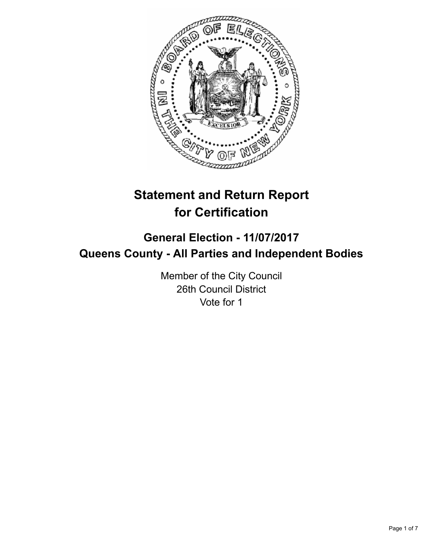

# **Statement and Return Report for Certification**

## **General Election - 11/07/2017 Queens County - All Parties and Independent Bodies**

Member of the City Council 26th Council District Vote for 1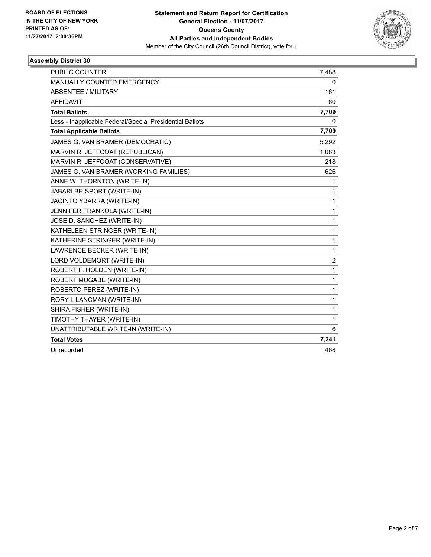

| <b>PUBLIC COUNTER</b>                                    | 7,488 |
|----------------------------------------------------------|-------|
| <b>MANUALLY COUNTED EMERGENCY</b>                        | 0     |
| ABSENTEE / MILITARY                                      | 161   |
| <b>AFFIDAVIT</b>                                         | 60    |
| <b>Total Ballots</b>                                     | 7,709 |
| Less - Inapplicable Federal/Special Presidential Ballots | 0     |
| <b>Total Applicable Ballots</b>                          | 7,709 |
| JAMES G. VAN BRAMER (DEMOCRATIC)                         | 5,292 |
| MARVIN R. JEFFCOAT (REPUBLICAN)                          | 1,083 |
| MARVIN R. JEFFCOAT (CONSERVATIVE)                        | 218   |
| JAMES G. VAN BRAMER (WORKING FAMILIES)                   | 626   |
| ANNE W. THORNTON (WRITE-IN)                              | 1     |
| <b>JABARI BRISPORT (WRITE-IN)</b>                        | 1     |
| JACINTO YBARRA (WRITE-IN)                                | 1     |
| JENNIFER FRANKOLA (WRITE-IN)                             | 1     |
| JOSE D. SANCHEZ (WRITE-IN)                               | 1     |
| KATHELEEN STRINGER (WRITE-IN)                            | 1     |
| KATHERINE STRINGER (WRITE-IN)                            | 1     |
| LAWRENCE BECKER (WRITE-IN)                               | 1     |
| LORD VOLDEMORT (WRITE-IN)                                | 2     |
| ROBERT F. HOLDEN (WRITE-IN)                              | 1     |
| ROBERT MUGABE (WRITE-IN)                                 | 1     |
| ROBERTO PEREZ (WRITE-IN)                                 | 1     |
| RORY I. LANCMAN (WRITE-IN)                               | 1     |
| SHIRA FISHER (WRITE-IN)                                  | 1     |
| TIMOTHY THAYER (WRITE-IN)                                | 1     |
| UNATTRIBUTABLE WRITE-IN (WRITE-IN)                       | 6     |
| <b>Total Votes</b>                                       | 7,241 |
| Unrecorded                                               | 468   |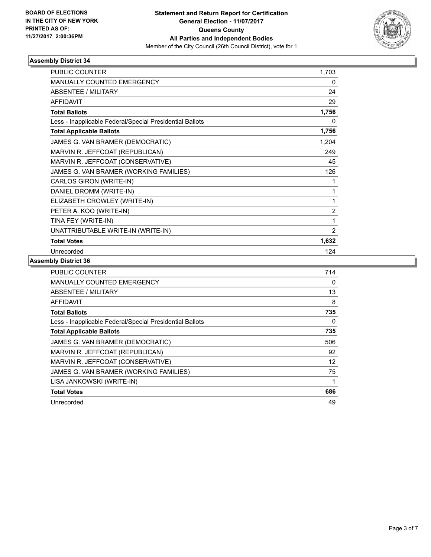

| <b>PUBLIC COUNTER</b>                                    | 1,703 |
|----------------------------------------------------------|-------|
| <b>MANUALLY COUNTED EMERGENCY</b>                        | 0     |
| ABSENTEE / MILITARY                                      | 24    |
| <b>AFFIDAVIT</b>                                         | 29    |
| <b>Total Ballots</b>                                     | 1,756 |
| Less - Inapplicable Federal/Special Presidential Ballots | 0     |
| <b>Total Applicable Ballots</b>                          | 1,756 |
| JAMES G. VAN BRAMER (DEMOCRATIC)                         | 1,204 |
| MARVIN R. JEFFCOAT (REPUBLICAN)                          | 249   |
| MARVIN R. JEFFCOAT (CONSERVATIVE)                        | 45    |
| JAMES G. VAN BRAMER (WORKING FAMILIES)                   | 126   |
| CARLOS GIRON (WRITE-IN)                                  | 1     |
| DANIEL DROMM (WRITE-IN)                                  | 1     |
| ELIZABETH CROWLEY (WRITE-IN)                             | 1     |
| PETER A. KOO (WRITE-IN)                                  | 2     |
| TINA FEY (WRITE-IN)                                      | 1     |
| UNATTRIBUTABLE WRITE-IN (WRITE-IN)                       | 2     |
| <b>Total Votes</b>                                       | 1,632 |
| Unrecorded                                               | 124   |

| <b>PUBLIC COUNTER</b>                                    | 714      |
|----------------------------------------------------------|----------|
| <b>MANUALLY COUNTED EMERGENCY</b>                        | 0        |
| ABSENTEE / MILITARY                                      | 13       |
| <b>AFFIDAVIT</b>                                         | 8        |
| <b>Total Ballots</b>                                     | 735      |
| Less - Inapplicable Federal/Special Presidential Ballots | $\Omega$ |
| <b>Total Applicable Ballots</b>                          | 735      |
| JAMES G. VAN BRAMER (DEMOCRATIC)                         | 506      |
| MARVIN R. JEFFCOAT (REPUBLICAN)                          | 92       |
| MARVIN R. JEFFCOAT (CONSERVATIVE)                        | 12       |
| JAMES G. VAN BRAMER (WORKING FAMILIES)                   | 75       |
| LISA JANKOWSKI (WRITE-IN)                                |          |
| <b>Total Votes</b>                                       | 686      |
| Unrecorded                                               | 49       |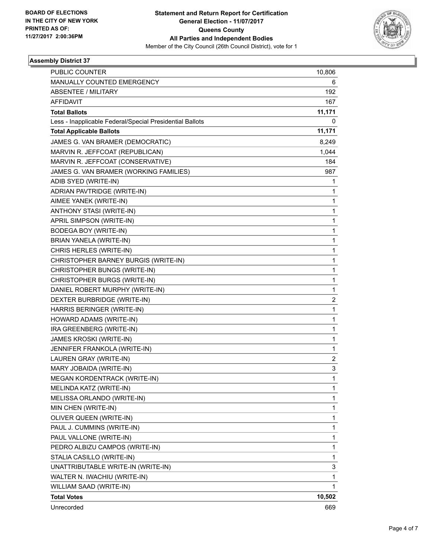

| <b>PUBLIC COUNTER</b>                                    | 10,806 |
|----------------------------------------------------------|--------|
| MANUALLY COUNTED EMERGENCY                               | 6      |
| <b>ABSENTEE / MILITARY</b>                               | 192    |
| <b>AFFIDAVIT</b>                                         | 167    |
| <b>Total Ballots</b>                                     | 11,171 |
| Less - Inapplicable Federal/Special Presidential Ballots | 0      |
| <b>Total Applicable Ballots</b>                          | 11,171 |
| JAMES G. VAN BRAMER (DEMOCRATIC)                         | 8,249  |
| MARVIN R. JEFFCOAT (REPUBLICAN)                          | 1,044  |
| MARVIN R. JEFFCOAT (CONSERVATIVE)                        | 184    |
| JAMES G. VAN BRAMER (WORKING FAMILIES)                   | 987    |
| ADIB SYED (WRITE-IN)                                     | 1      |
| ADRIAN PAVTRIDGE (WRITE-IN)                              | 1      |
| AIMEE YANEK (WRITE-IN)                                   | 1      |
| ANTHONY STASI (WRITE-IN)                                 | 1      |
| APRIL SIMPSON (WRITE-IN)                                 | 1      |
| BODEGA BOY (WRITE-IN)                                    | 1      |
| <b>BRIAN YANELA (WRITE-IN)</b>                           | 1      |
| CHRIS HERLES (WRITE-IN)                                  | 1      |
| CHRISTOPHER BARNEY BURGIS (WRITE-IN)                     | 1      |
| CHRISTOPHER BUNGS (WRITE-IN)                             | 1      |
| CHRISTOPHER BURGS (WRITE-IN)                             | 1      |
| DANIEL ROBERT MURPHY (WRITE-IN)                          | 1      |
| DEXTER BURBRIDGE (WRITE-IN)                              | 2      |
| HARRIS BERINGER (WRITE-IN)                               | 1      |
| HOWARD ADAMS (WRITE-IN)                                  | 1      |
| IRA GREENBERG (WRITE-IN)                                 | 1      |
| JAMES KROSKI (WRITE-IN)                                  | 1      |
| JENNIFER FRANKOLA (WRITE-IN)                             | 1      |
| LAUREN GRAY (WRITE-IN)                                   | 2      |
| MARY JOBAIDA (WRITE-IN)                                  | 3      |
| MEGAN KORDENTRACK (WRITE-IN)                             | 1      |
| MELINDA KATZ (WRITE-IN)                                  | 1      |
| MELISSA ORLANDO (WRITE-IN)                               | 1      |
| MIN CHEN (WRITE-IN)                                      | 1      |
| OLIVER QUEEN (WRITE-IN)                                  | 1      |
| PAUL J. CUMMINS (WRITE-IN)                               | 1      |
| PAUL VALLONE (WRITE-IN)                                  | 1      |
| PEDRO ALBIZU CAMPOS (WRITE-IN)                           | 1      |
| STALIA CASILLO (WRITE-IN)                                | 1      |
| UNATTRIBUTABLE WRITE-IN (WRITE-IN)                       | 3      |
| WALTER N. IWACHIU (WRITE-IN)                             | 1      |
| WILLIAM SAAD (WRITE-IN)                                  | 1      |
| <b>Total Votes</b>                                       | 10,502 |
| Unrecorded                                               | 669    |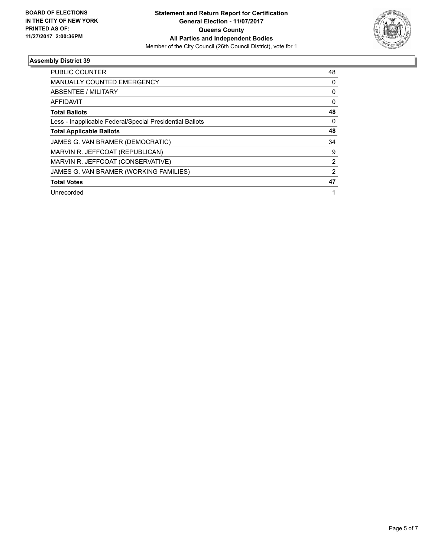

| <b>PUBLIC COUNTER</b>                                    | 48             |
|----------------------------------------------------------|----------------|
| <b>MANUALLY COUNTED EMERGENCY</b>                        | 0              |
| <b>ABSENTEE / MILITARY</b>                               | 0              |
| <b>AFFIDAVIT</b>                                         | $\Omega$       |
| <b>Total Ballots</b>                                     | 48             |
| Less - Inapplicable Federal/Special Presidential Ballots | 0              |
| <b>Total Applicable Ballots</b>                          | 48             |
| JAMES G. VAN BRAMER (DEMOCRATIC)                         | 34             |
| MARVIN R. JEFFCOAT (REPUBLICAN)                          | 9              |
| MARVIN R. JEFFCOAT (CONSERVATIVE)                        | $\overline{2}$ |
| JAMES G. VAN BRAMER (WORKING FAMILIES)                   | 2              |
| <b>Total Votes</b>                                       | 47             |
| Unrecorded                                               |                |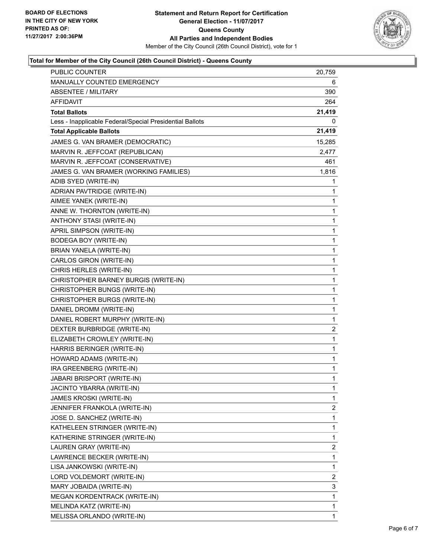

### **Total for Member of the City Council (26th Council District) - Queens County**

| MANUALLY COUNTED EMERGENCY<br>6<br><b>ABSENTEE / MILITARY</b><br>390<br>AFFIDAVIT<br>264<br><b>Total Ballots</b><br>21,419<br>0<br>Less - Inapplicable Federal/Special Presidential Ballots<br><b>Total Applicable Ballots</b><br>21,419<br>JAMES G. VAN BRAMER (DEMOCRATIC)<br>15,285<br>MARVIN R. JEFFCOAT (REPUBLICAN)<br>2,477<br>MARVIN R. JEFFCOAT (CONSERVATIVE)<br>461<br>JAMES G. VAN BRAMER (WORKING FAMILIES)<br>1,816<br>ADIB SYED (WRITE-IN)<br>1<br>ADRIAN PAVTRIDGE (WRITE-IN)<br>1<br>AIMEE YANEK (WRITE-IN)<br>1<br>ANNE W. THORNTON (WRITE-IN)<br>1<br>ANTHONY STASI (WRITE-IN)<br>1<br>APRIL SIMPSON (WRITE-IN)<br>1<br><b>BODEGA BOY (WRITE-IN)</b><br>1<br>BRIAN YANELA (WRITE-IN)<br>1<br>CARLOS GIRON (WRITE-IN)<br>1<br>CHRIS HERLES (WRITE-IN)<br>1<br>CHRISTOPHER BARNEY BURGIS (WRITE-IN)<br>1<br>CHRISTOPHER BUNGS (WRITE-IN)<br>1<br>CHRISTOPHER BURGS (WRITE-IN)<br>1<br>DANIEL DROMM (WRITE-IN)<br>1<br>1<br>DANIEL ROBERT MURPHY (WRITE-IN)<br>DEXTER BURBRIDGE (WRITE-IN)<br>2<br>ELIZABETH CROWLEY (WRITE-IN)<br>1<br>HARRIS BERINGER (WRITE-IN)<br>1<br>HOWARD ADAMS (WRITE-IN)<br>1<br>IRA GREENBERG (WRITE-IN)<br>1<br><b>JABARI BRISPORT (WRITE-IN)</b><br>$\mathbf{1}$<br>JACINTO YBARRA (WRITE-IN)<br>1<br>JAMES KROSKI (WRITE-IN)<br>1<br>JENNIFER FRANKOLA (WRITE-IN)<br>2<br>1<br>JOSE D. SANCHEZ (WRITE-IN)<br>KATHELEEN STRINGER (WRITE-IN)<br>1<br>KATHERINE STRINGER (WRITE-IN)<br>1<br>LAUREN GRAY (WRITE-IN)<br>2<br>LAWRENCE BECKER (WRITE-IN)<br>1<br>LISA JANKOWSKI (WRITE-IN)<br>1<br>LORD VOLDEMORT (WRITE-IN)<br>2<br>3<br>MARY JOBAIDA (WRITE-IN)<br>1<br>MEGAN KORDENTRACK (WRITE-IN)<br>MELINDA KATZ (WRITE-IN)<br>1<br>MELISSA ORLANDO (WRITE-IN)<br>1 | <b>PUBLIC COUNTER</b> | 20,759 |
|-------------------------------------------------------------------------------------------------------------------------------------------------------------------------------------------------------------------------------------------------------------------------------------------------------------------------------------------------------------------------------------------------------------------------------------------------------------------------------------------------------------------------------------------------------------------------------------------------------------------------------------------------------------------------------------------------------------------------------------------------------------------------------------------------------------------------------------------------------------------------------------------------------------------------------------------------------------------------------------------------------------------------------------------------------------------------------------------------------------------------------------------------------------------------------------------------------------------------------------------------------------------------------------------------------------------------------------------------------------------------------------------------------------------------------------------------------------------------------------------------------------------------------------------------------------------------------------------------------------------------------------------------------------------------------------------------------------------|-----------------------|--------|
|                                                                                                                                                                                                                                                                                                                                                                                                                                                                                                                                                                                                                                                                                                                                                                                                                                                                                                                                                                                                                                                                                                                                                                                                                                                                                                                                                                                                                                                                                                                                                                                                                                                                                                                   |                       |        |
|                                                                                                                                                                                                                                                                                                                                                                                                                                                                                                                                                                                                                                                                                                                                                                                                                                                                                                                                                                                                                                                                                                                                                                                                                                                                                                                                                                                                                                                                                                                                                                                                                                                                                                                   |                       |        |
|                                                                                                                                                                                                                                                                                                                                                                                                                                                                                                                                                                                                                                                                                                                                                                                                                                                                                                                                                                                                                                                                                                                                                                                                                                                                                                                                                                                                                                                                                                                                                                                                                                                                                                                   |                       |        |
|                                                                                                                                                                                                                                                                                                                                                                                                                                                                                                                                                                                                                                                                                                                                                                                                                                                                                                                                                                                                                                                                                                                                                                                                                                                                                                                                                                                                                                                                                                                                                                                                                                                                                                                   |                       |        |
|                                                                                                                                                                                                                                                                                                                                                                                                                                                                                                                                                                                                                                                                                                                                                                                                                                                                                                                                                                                                                                                                                                                                                                                                                                                                                                                                                                                                                                                                                                                                                                                                                                                                                                                   |                       |        |
|                                                                                                                                                                                                                                                                                                                                                                                                                                                                                                                                                                                                                                                                                                                                                                                                                                                                                                                                                                                                                                                                                                                                                                                                                                                                                                                                                                                                                                                                                                                                                                                                                                                                                                                   |                       |        |
|                                                                                                                                                                                                                                                                                                                                                                                                                                                                                                                                                                                                                                                                                                                                                                                                                                                                                                                                                                                                                                                                                                                                                                                                                                                                                                                                                                                                                                                                                                                                                                                                                                                                                                                   |                       |        |
|                                                                                                                                                                                                                                                                                                                                                                                                                                                                                                                                                                                                                                                                                                                                                                                                                                                                                                                                                                                                                                                                                                                                                                                                                                                                                                                                                                                                                                                                                                                                                                                                                                                                                                                   |                       |        |
|                                                                                                                                                                                                                                                                                                                                                                                                                                                                                                                                                                                                                                                                                                                                                                                                                                                                                                                                                                                                                                                                                                                                                                                                                                                                                                                                                                                                                                                                                                                                                                                                                                                                                                                   |                       |        |
|                                                                                                                                                                                                                                                                                                                                                                                                                                                                                                                                                                                                                                                                                                                                                                                                                                                                                                                                                                                                                                                                                                                                                                                                                                                                                                                                                                                                                                                                                                                                                                                                                                                                                                                   |                       |        |
|                                                                                                                                                                                                                                                                                                                                                                                                                                                                                                                                                                                                                                                                                                                                                                                                                                                                                                                                                                                                                                                                                                                                                                                                                                                                                                                                                                                                                                                                                                                                                                                                                                                                                                                   |                       |        |
|                                                                                                                                                                                                                                                                                                                                                                                                                                                                                                                                                                                                                                                                                                                                                                                                                                                                                                                                                                                                                                                                                                                                                                                                                                                                                                                                                                                                                                                                                                                                                                                                                                                                                                                   |                       |        |
|                                                                                                                                                                                                                                                                                                                                                                                                                                                                                                                                                                                                                                                                                                                                                                                                                                                                                                                                                                                                                                                                                                                                                                                                                                                                                                                                                                                                                                                                                                                                                                                                                                                                                                                   |                       |        |
|                                                                                                                                                                                                                                                                                                                                                                                                                                                                                                                                                                                                                                                                                                                                                                                                                                                                                                                                                                                                                                                                                                                                                                                                                                                                                                                                                                                                                                                                                                                                                                                                                                                                                                                   |                       |        |
|                                                                                                                                                                                                                                                                                                                                                                                                                                                                                                                                                                                                                                                                                                                                                                                                                                                                                                                                                                                                                                                                                                                                                                                                                                                                                                                                                                                                                                                                                                                                                                                                                                                                                                                   |                       |        |
|                                                                                                                                                                                                                                                                                                                                                                                                                                                                                                                                                                                                                                                                                                                                                                                                                                                                                                                                                                                                                                                                                                                                                                                                                                                                                                                                                                                                                                                                                                                                                                                                                                                                                                                   |                       |        |
|                                                                                                                                                                                                                                                                                                                                                                                                                                                                                                                                                                                                                                                                                                                                                                                                                                                                                                                                                                                                                                                                                                                                                                                                                                                                                                                                                                                                                                                                                                                                                                                                                                                                                                                   |                       |        |
|                                                                                                                                                                                                                                                                                                                                                                                                                                                                                                                                                                                                                                                                                                                                                                                                                                                                                                                                                                                                                                                                                                                                                                                                                                                                                                                                                                                                                                                                                                                                                                                                                                                                                                                   |                       |        |
|                                                                                                                                                                                                                                                                                                                                                                                                                                                                                                                                                                                                                                                                                                                                                                                                                                                                                                                                                                                                                                                                                                                                                                                                                                                                                                                                                                                                                                                                                                                                                                                                                                                                                                                   |                       |        |
|                                                                                                                                                                                                                                                                                                                                                                                                                                                                                                                                                                                                                                                                                                                                                                                                                                                                                                                                                                                                                                                                                                                                                                                                                                                                                                                                                                                                                                                                                                                                                                                                                                                                                                                   |                       |        |
|                                                                                                                                                                                                                                                                                                                                                                                                                                                                                                                                                                                                                                                                                                                                                                                                                                                                                                                                                                                                                                                                                                                                                                                                                                                                                                                                                                                                                                                                                                                                                                                                                                                                                                                   |                       |        |
|                                                                                                                                                                                                                                                                                                                                                                                                                                                                                                                                                                                                                                                                                                                                                                                                                                                                                                                                                                                                                                                                                                                                                                                                                                                                                                                                                                                                                                                                                                                                                                                                                                                                                                                   |                       |        |
|                                                                                                                                                                                                                                                                                                                                                                                                                                                                                                                                                                                                                                                                                                                                                                                                                                                                                                                                                                                                                                                                                                                                                                                                                                                                                                                                                                                                                                                                                                                                                                                                                                                                                                                   |                       |        |
|                                                                                                                                                                                                                                                                                                                                                                                                                                                                                                                                                                                                                                                                                                                                                                                                                                                                                                                                                                                                                                                                                                                                                                                                                                                                                                                                                                                                                                                                                                                                                                                                                                                                                                                   |                       |        |
|                                                                                                                                                                                                                                                                                                                                                                                                                                                                                                                                                                                                                                                                                                                                                                                                                                                                                                                                                                                                                                                                                                                                                                                                                                                                                                                                                                                                                                                                                                                                                                                                                                                                                                                   |                       |        |
|                                                                                                                                                                                                                                                                                                                                                                                                                                                                                                                                                                                                                                                                                                                                                                                                                                                                                                                                                                                                                                                                                                                                                                                                                                                                                                                                                                                                                                                                                                                                                                                                                                                                                                                   |                       |        |
|                                                                                                                                                                                                                                                                                                                                                                                                                                                                                                                                                                                                                                                                                                                                                                                                                                                                                                                                                                                                                                                                                                                                                                                                                                                                                                                                                                                                                                                                                                                                                                                                                                                                                                                   |                       |        |
|                                                                                                                                                                                                                                                                                                                                                                                                                                                                                                                                                                                                                                                                                                                                                                                                                                                                                                                                                                                                                                                                                                                                                                                                                                                                                                                                                                                                                                                                                                                                                                                                                                                                                                                   |                       |        |
|                                                                                                                                                                                                                                                                                                                                                                                                                                                                                                                                                                                                                                                                                                                                                                                                                                                                                                                                                                                                                                                                                                                                                                                                                                                                                                                                                                                                                                                                                                                                                                                                                                                                                                                   |                       |        |
|                                                                                                                                                                                                                                                                                                                                                                                                                                                                                                                                                                                                                                                                                                                                                                                                                                                                                                                                                                                                                                                                                                                                                                                                                                                                                                                                                                                                                                                                                                                                                                                                                                                                                                                   |                       |        |
|                                                                                                                                                                                                                                                                                                                                                                                                                                                                                                                                                                                                                                                                                                                                                                                                                                                                                                                                                                                                                                                                                                                                                                                                                                                                                                                                                                                                                                                                                                                                                                                                                                                                                                                   |                       |        |
|                                                                                                                                                                                                                                                                                                                                                                                                                                                                                                                                                                                                                                                                                                                                                                                                                                                                                                                                                                                                                                                                                                                                                                                                                                                                                                                                                                                                                                                                                                                                                                                                                                                                                                                   |                       |        |
|                                                                                                                                                                                                                                                                                                                                                                                                                                                                                                                                                                                                                                                                                                                                                                                                                                                                                                                                                                                                                                                                                                                                                                                                                                                                                                                                                                                                                                                                                                                                                                                                                                                                                                                   |                       |        |
|                                                                                                                                                                                                                                                                                                                                                                                                                                                                                                                                                                                                                                                                                                                                                                                                                                                                                                                                                                                                                                                                                                                                                                                                                                                                                                                                                                                                                                                                                                                                                                                                                                                                                                                   |                       |        |
|                                                                                                                                                                                                                                                                                                                                                                                                                                                                                                                                                                                                                                                                                                                                                                                                                                                                                                                                                                                                                                                                                                                                                                                                                                                                                                                                                                                                                                                                                                                                                                                                                                                                                                                   |                       |        |
|                                                                                                                                                                                                                                                                                                                                                                                                                                                                                                                                                                                                                                                                                                                                                                                                                                                                                                                                                                                                                                                                                                                                                                                                                                                                                                                                                                                                                                                                                                                                                                                                                                                                                                                   |                       |        |
|                                                                                                                                                                                                                                                                                                                                                                                                                                                                                                                                                                                                                                                                                                                                                                                                                                                                                                                                                                                                                                                                                                                                                                                                                                                                                                                                                                                                                                                                                                                                                                                                                                                                                                                   |                       |        |
|                                                                                                                                                                                                                                                                                                                                                                                                                                                                                                                                                                                                                                                                                                                                                                                                                                                                                                                                                                                                                                                                                                                                                                                                                                                                                                                                                                                                                                                                                                                                                                                                                                                                                                                   |                       |        |
|                                                                                                                                                                                                                                                                                                                                                                                                                                                                                                                                                                                                                                                                                                                                                                                                                                                                                                                                                                                                                                                                                                                                                                                                                                                                                                                                                                                                                                                                                                                                                                                                                                                                                                                   |                       |        |
|                                                                                                                                                                                                                                                                                                                                                                                                                                                                                                                                                                                                                                                                                                                                                                                                                                                                                                                                                                                                                                                                                                                                                                                                                                                                                                                                                                                                                                                                                                                                                                                                                                                                                                                   |                       |        |
|                                                                                                                                                                                                                                                                                                                                                                                                                                                                                                                                                                                                                                                                                                                                                                                                                                                                                                                                                                                                                                                                                                                                                                                                                                                                                                                                                                                                                                                                                                                                                                                                                                                                                                                   |                       |        |
|                                                                                                                                                                                                                                                                                                                                                                                                                                                                                                                                                                                                                                                                                                                                                                                                                                                                                                                                                                                                                                                                                                                                                                                                                                                                                                                                                                                                                                                                                                                                                                                                                                                                                                                   |                       |        |
|                                                                                                                                                                                                                                                                                                                                                                                                                                                                                                                                                                                                                                                                                                                                                                                                                                                                                                                                                                                                                                                                                                                                                                                                                                                                                                                                                                                                                                                                                                                                                                                                                                                                                                                   |                       |        |
|                                                                                                                                                                                                                                                                                                                                                                                                                                                                                                                                                                                                                                                                                                                                                                                                                                                                                                                                                                                                                                                                                                                                                                                                                                                                                                                                                                                                                                                                                                                                                                                                                                                                                                                   |                       |        |
|                                                                                                                                                                                                                                                                                                                                                                                                                                                                                                                                                                                                                                                                                                                                                                                                                                                                                                                                                                                                                                                                                                                                                                                                                                                                                                                                                                                                                                                                                                                                                                                                                                                                                                                   |                       |        |